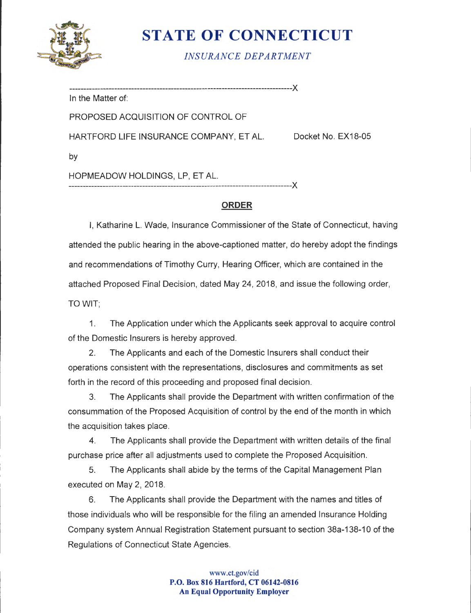

# **STATE OF CONNECTICUT**

*INSURANCE DEPARTMENT* 

In the Matter of:

PROPOSED ACQUISITION OF CONTROL OF

HARTFORD LIFE INSURANCE COMPANY, ET AL. Docket No. EX18-05

by

HOPMEADOW HOLDINGS, LP, ET AL.

-------------------------------------------------------------------------------)(

-------------------------------------------------------------------------------)(

# **ORDER**

I, Katharine L. Wade, Insurance Commissioner of the State of Connecticut, having attended the public hearing in the above-captioned matter, do hereby adopt the findings and recommendations of Timothy Curry, Hearing Officer, which are contained in the attached Proposed Final Decision, dated May 24, 2018, and issue the following order, TOWIT;

1. The Application under which the Applicants seek approval to acquire control of the Domestic Insurers is hereby approved.

2. The Applicants and each of the Domestic Insurers shall conduct their operations consistent with the representations, disclosures and commitments as set forth in the record of this proceeding and proposed final decision.

3. The Applicants shall provide the Department with written confirmation of the consummation of the Proposed Acquisition of control by the end of the month in which the acquisition takes place.

4. The Applicants shall provide the Department with written details of the final purchase price after all adjustments used to complete the Proposed Acquisition.

5. The Applicants shall abide by the terms of the Capital Management Plan executed on May 2, 2018.

6. The Applicants shall provide the Department with the names and titles of those individuals who will be responsible for the filing an amended Insurance Holding Company system Annual Registration Statement pursuant to section 38a-138-10 of the Regulations of Connecticut State Agencies.

> www.ct.gov/cid **P.O. Box 816 Hartford, CT 06142-0816 An Equal Opportunity Employer**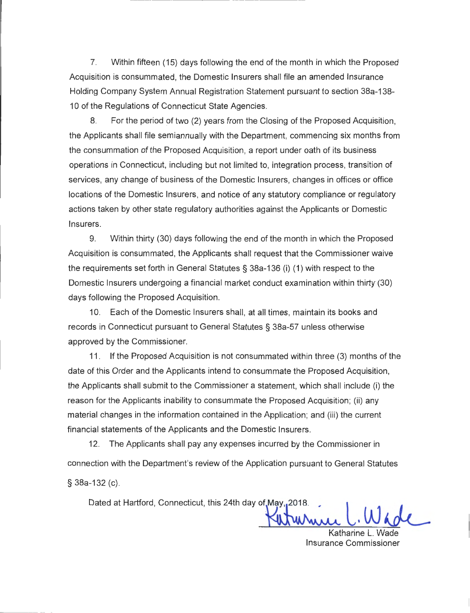7. Within fifteen (15) days following the end of the month in which the Proposed Acquisition is consummated, the Domestic Insurers shall file an amended Insurance Holding Company System Annual Registration Statement pursuant to section 38a-138- 10 of the Regulations of Connecticut State Agencies.

8. For the period of two (2) years from the Closing of the Proposed Acquisition, the Applicants shall file semiannually with the Department, commencing six months from the consummation of the Proposed Acquisition, a report under oath of its business operations in Connecticut, including but not limited to, integration process, transition of services, any change of business of the Domestic Insurers, changes in offices or office locations of the Domestic Insurers, and notice of any statutory compliance or regulatory actions taken by other state regulatory authorities against the Applicants or Domestic Insurers.

9. Within thirty (30) days following the end of the month in which the Proposed Acquisition is consummated, the Applicants shall request that the Commissioner waive the requirements set forth in General Statutes § 38a-136 (i) (1) with respect to the Domestic Insurers undergoing a financial market conduct examination within thirty (30) days following the Proposed Acquisition.

10. Each of the Domestic Insurers shall, at all times, maintain its books and records in Connecticut pursuant to General Statutes § 38a-57 unless otherwise approved by the Commissioner.

11 . If the Proposed Acquisition is not consummated within three (3) months of the date of this Order and the Applicants intend to consummate the Proposed Acquisition, the Applicants shall submit to the Commissioner a statement, which shall include (i) the reason for the Applicants inability to consummate the Proposed Acquisition; (ii) any material changes in the information contained in the Application; and (iii) the current financial statements of the Applicants and the Domestic Insurers.

12. The Applicants shall pay any expenses incurred by the Commissioner in connection with the Department's review of the Application pursuant to General Statutes § 38a-132 (c).

Dated at Hartford, Connecticut, this 24th day of May, 2018.

Katharine L. Wade Insurance Commissioner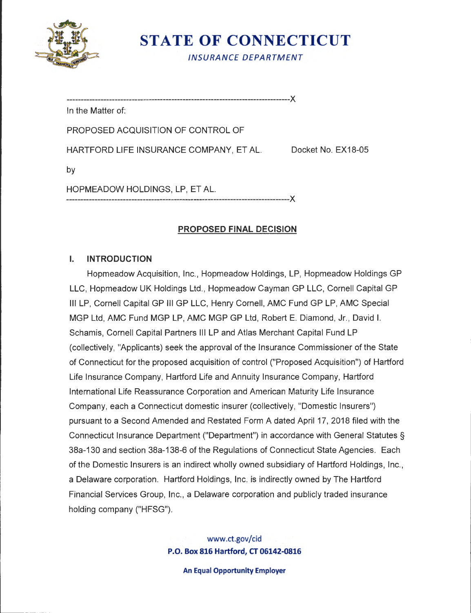

**STATE OF CONNECTICUT** 

*INSURANCE DEPARTMENT* 

-------------------------------------------------------------------------------)(

In the Matter of:

PROPOSED ACQUISITION OF CONTROL OF

HARTFORD LIFE INSURANCE COMPANY, ET AL. Docket No. EX18-05

by

HOPMEADOW HOLDINGS, LP, ET AL. -------------------------------------------------------------------------------)(

# **PROPOSED FINAL DECISION**

# I. **INTRODUCTION**

Hopmeadow Acquisition, Inc. , Hopmeadow Holdings, LP, Hopmeadow Holdings GP LLC, Hopmeadow UK Holdings Ltd. , Hopmeadow Cayman GP LLC, Cornell Capital GP Ill LP, Cornell Capital GP Ill GP LLC, Henry Cornell, AMC Fund GP LP, AMC Special MGP Ltd, AMC Fund MGP LP, AMC MGP GP Ltd, Robert E. Diamond, Jr. , David I. Schamis, Cornell Capital Partners Ill LP and Atlas Merchant Capital Fund LP (collectively, "Applicants) seek the approval of the Insurance Commissioner of the State of Connecticut for the proposed acquisition of control ("Proposed Acquisition") of Hartford Life Insurance Company, Hartford Life and Annuity Insurance Company, Hartford International Life Reassurance Corporation and American Maturity Life Insurance Company, each a Connecticut domestic insurer (collectively, "Domestic Insurers") pursuant to a Second Amended and Restated Form A dated April 17, 2018 filed with the Connecticut Insurance Department ("Department") in accordance with General Statutes§ 38a-130 and section 38a-138-6 of the Regulations of Connecticut State Agencies. Each of the Domestic Insurers is an indirect wholly owned subsidiary of Hartford Holdings, Inc. , a Delaware corporation. Hartford Holdings, Inc. is indirectly owned by The Hartford Financial Services Group, Inc., a Delaware corporation and publicly traded insurance holding company ("HFSG").

> www.ct.gov/cid **P.O. Box 816 Hartford, CT 06142-0816**

> > **An Equal Opportunity Employer**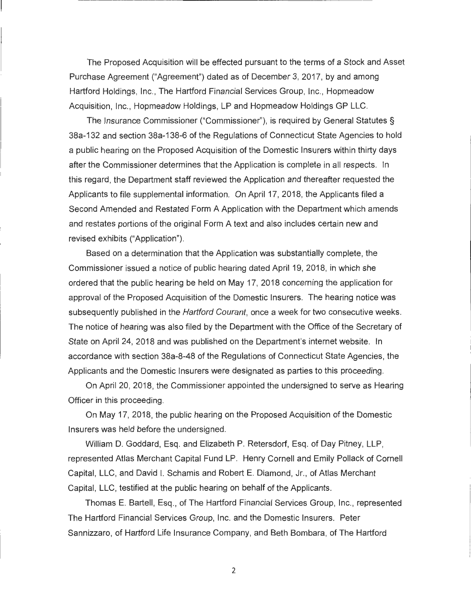The Proposed Acquisition will be effected pursuant to the terms of a Stock and Asset Purchase Agreement ("Agreement") dated as of December 3, 2017, by and among Hartford Holdings, Inc., The Hartford Financial Services Group, Inc., Hopmeadow Acquisition, Inc., Hopmeadow Holdings, LP and Hopmeadow Holdings GP LLC.

The Insurance Commissioner ("Commissioner"), is required by General Statutes§ 38a-132 and section 38a-138-6 of the Regulations of Connecticut State Agencies to hold a public hearing on the Proposed Acquisition of the Domestic Insurers within thirty days after the Commissioner determines that the Application is complete in all respects. In this regard, the Department staff reviewed the Application and thereafter requested the Applicants to file supplemental information. On April 17, 2018, the Applicants filed a Second Amended and Restated Form A Application with the Department which amends and restates portions of the original Form A text and also includes certain new and revised exhibits ("Application").

Based on a determination that the Application was substantially complete, the Commissioner issued a notice of public hearing dated April 19, 2018, in which she ordered that the public hearing be held on May 17, 2018 concerning the application for approval of the Proposed Acquisition of the Domestic Insurers. The hearing notice was subsequently published in the *Hartford Courant*, once a week for two consecutive weeks. The notice of hearing was also filed by the Department with the Office of the Secretary of State on April 24, 2018 and was published on the Department's internet website. In accordance with section 38a-8-48 of the Regulations of Connecticut State Agencies, the Applicants and the Domestic Insurers were designated as parties to this proceeding.

On April 20, 2018, the Commissioner appointed the undersigned to serve as Hearing Officer in this proceeding.

On May 17, 2018, the public hearing on the Proposed Acquisition of the Domestic Insurers was held before the undersigned.

William D. Goddard, Esq. and Elizabeth P. Retersdorf, Esq. of Day Pitney, LLP, represented Atlas Merchant Capital Fund LP. Henry Cornell and Emily Pollack of Cornell Capital, LLC, and David I. Schamis and Robert E. Diamond, Jr., of Atlas Merchant Capital, LLC, testified at the public hearing on behalf of the Applicants.

Thomas E. Bartell, Esq. , of The Hartford Financial Services Group, Inc., represented The Hartford Financial Services Group, Inc. and the Domestic Insurers. Peter Sannizzaro, of Hartford Life Insurance Company, and Beth Bombara, of The Hartford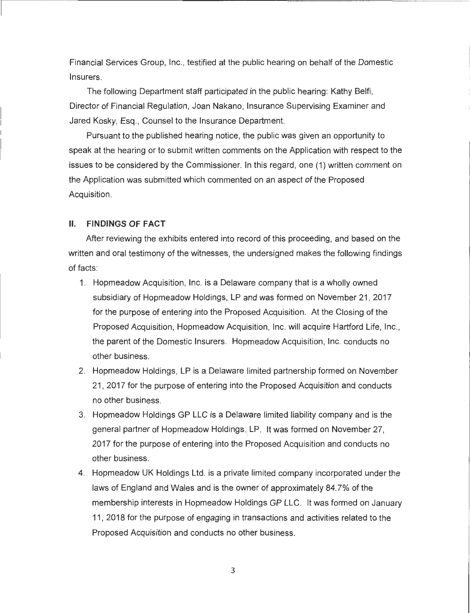Financial Services Group, Inc. , testified at the public hearing on behalf of the Domestic Insurers.

The following Department staff participated in the public hearing: Kathy Belfi, Director of Financial Regulation, Joan Nakano, Insurance Supervising Examiner and Jared Kosky, Esq., Counsel to the Insurance Department.

Pursuant to the published hearing notice, the public was given an opportunity to speak at the hearing or to submit written comments on the Application with respect to the issues to be considered by the Commissioner. In this regard, one (1) written comment on the Application was submitted which commented on an aspect of the Proposed Acquisition.

#### **11. FINDINGS OF FACT**

After reviewing the exhibits entered into record of this proceeding, and based on the written and oral testimony of the witnesses, the undersigned makes the following findings of facts:

- 1. Hopmeadow Acquisition, Inc. is a Delaware company that is a wholly owned subsidiary of Hopmeadow Holdings, LP and was formed on November 21 , 2017 for the purpose of entering into the Proposed Acquisition. At the Closing of the Proposed Acquisition, Hopmeadow Acquisition, Inc. will acquire Hartford Life, Inc., the parent of the Domestic Insurers. Hopmeadow Acquisition, Inc. conducts no other business.
- 2. Hopmeadow Holdings, LP is a Delaware limited partnership formed on November 21 , 2017 for the purpose of entering into the Proposed Acquisition and conducts no other business.
- 3. Hopmeadow Holdings GP LLC is a Delaware limited liability company and is the general partner of Hopmeadow Holdings, LP. It was formed on November 27, 2017 for the purpose of entering into the Proposed Acquisition and conducts no other business.
- 4. Hopmeadow UK Holdings Ltd. is a private limited company incorporated under the laws of England and Wales and is the owner of approximately 84. 7% of the membership interests in Hopmeadow Holdings GP LLC. It was formed on January 11 , 2018 for the purpose of engaging in transactions and activities related to the Proposed Acquisition and conducts no other business.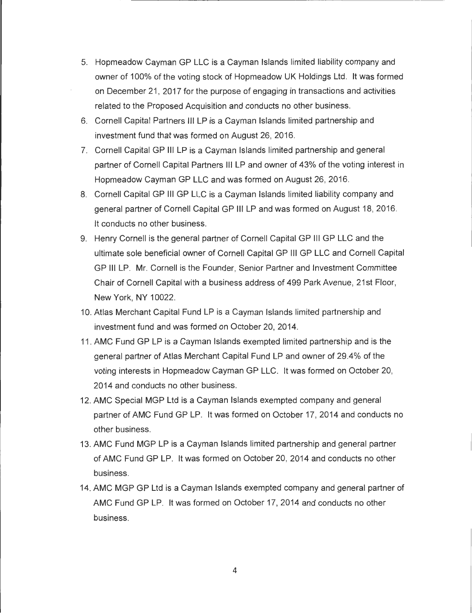- 5. Hopmeadow Cayman GP LLC is a Cayman Islands limited liability company and owner of 100% of the voting stock of Hopmeadow UK Holdings Ltd. It was formed on December 21 , 2017 for the purpose of engaging in transactions and activities related to the Proposed Acquisition and conducts no other business.
- 6. Cornell Capital Partners Ill LP is a Cayman Islands limited partnership and investment fund that was formed on August 26, 2016.
- 7. Cornell Capital GP Ill LP is a Cayman Islands limited partnership and general partner of Cornell Capital Partners Ill LP and owner of 43% of the voting interest in Hopmeadow Cayman GP LLC and was formed on August 26, 2016.
- 8. Cornell Capital GP Ill GP LLC is a Cayman Islands limited liability company and general partner of Cornell Capital GP Ill LP and was formed on August 18, 2016. It conducts no other business.
- 9. Henry Cornell is the general partner of Cornell Capital GP Ill GP LLC and the ultimate sole beneficial owner of Cornell Capital GP Ill GP LLC and Cornell Capital GP Ill LP. Mr. Cornell is the Founder, Senior Partner and Investment Committee Chair of Cornell Capital with a business address of 499 Park Avenue, 21st Floor, New York, NY 10022.
- 10. Atlas Merchant Capital Fund LP is a Cayman Islands limited partnership and investment fund and was formed on October 20, 2014.
- 11 . AMC Fund GP LP is a Cayman Islands exempted limited partnership and is the general partner of Atlas Merchant Capital Fund LP and owner of 29.4% of the voting interests in Hopmeadow Cayman GP LLC. It was formed on October 20, 2014 and conducts no other business.
- 12. AMC Special MGP Ltd is a Cayman Islands exempted company and general partner of AMC Fund GP LP. It was formed on October 17, 2014 and conducts no other business.
- 13. AMC Fund MGP LP is a Cayman Islands limited partnership and general partner of AMC Fund GP LP. It was formed on October 20, 2014 and conducts no other business.
- 14. AMC MGP GP Ltd is a Cayman Islands exempted company and general partner of AMC Fund GP LP. It was formed on October 17, 2014 and conducts no other business.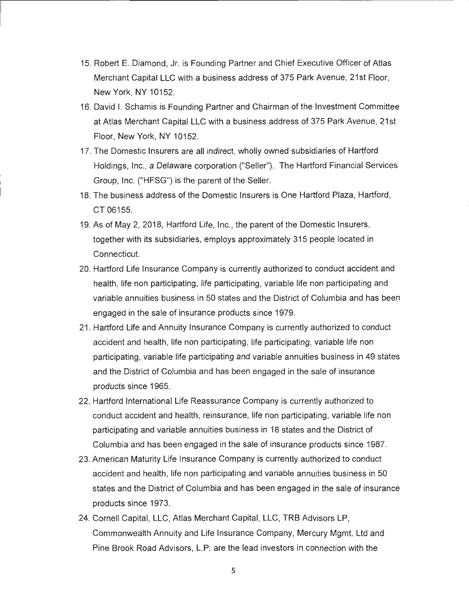- 15. Robert E. Diamond, Jr. is Founding Partner and Chief Executive Officer of Atlas Merchant Capital LLC with a business address of 375 Park Avenue, 21st Floor, New York, NY 10152.
- 16. David I. Schamis is Founding Partner and Chairman of the Investment Committee at Atlas Merchant Capital LLC with a business address of 375 Park Avenue, 21st Floor, New York, NY 10152.
- 17. The Domestic Insurers are all indirect, wholly owned subsidiaries of Hartford Holdings, Inc. , a Delaware corporation ("Seller"). The Hartford Financial Services Group, Inc. ("HFSG") is the parent of the Seller.
- 18. The business address of the Domestic Insurers is One Hartford Plaza, Hartford, CT 06155.
- 19. As of May 2, 2018, Hartford Life, Inc., the parent of the Domestic Insurers, together with its subsidiaries, employs approximately 315 people located in Connecticut.
- 20. Hartford Life Insurance Company is currently authorized to conduct accident and health, life non participating, life participating, variable life non participating and variable annuities business in 50 states and the District of Columbia and has been engaged in the sale of insurance products since 1979.
- 21. Hartford Life and Annuity Insurance Company is currently authorized to conduct accident and health, life non participating, life participating, variable life non participating, variable life participating and variable annuities business in 49 states and the District of Columbia and has been engaged in the sale of insurance products since 1965.
- 22. Hartford International Life Reassurance Company is currently authorized to conduct accident and health, reinsurance, life non participating, variable life non participating and variable annuities business in 18 states and the District of Columbia and has been engaged in the sale of insurance products since 1987.
- 23. American Maturity Life Insurance Company is currently authorized to conduct accident and health, life non participating and variable annuities business in 50 states and the District of Columbia and has been engaged in the sale of insurance products since 1973.
- 24. Cornell Capital, LLC, Atlas Merchant Capital, LLC, TRB Advisors LP, Commonwealth Annuity and Life Insurance Company, Mercury Mgmt. Ltd and Pine Brook Road Advisors, L.P. are the lead investors in connection with the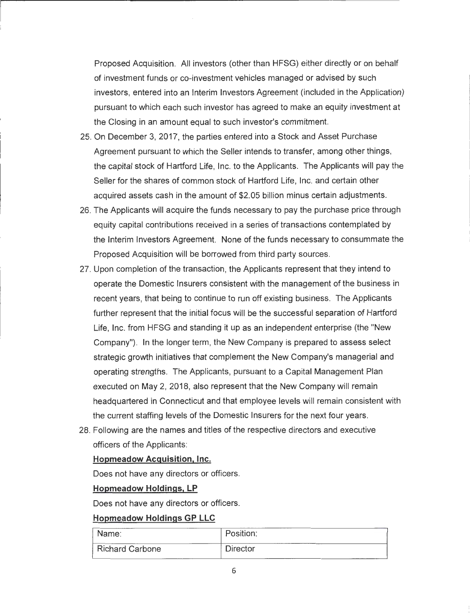Proposed Acquisition. All investors (other than HFSG) either directly or on behalf of investment funds or co-investment vehicles managed or advised by such investors, entered into an Interim Investors Agreement (included in the Application) pursuant to which each such investor has agreed to make an equity investment at the Closing in an amount equal to such investor's commitment.

- 25. On December 3, 2017, the parties entered into a Stock and Asset Purchase Agreement pursuant to which the Seller intends to transfer, among other things, the capital stock of Hartford Life, Inc. to the Applicants. The Applicants will pay the Seller for the shares of common stock of Hartford Life, Inc. and certain other acquired assets cash in the amount of \$2.05 billion minus certain adjustments.
- 26. The Applicants will acquire the funds necessary to pay the purchase price through equity capital contributions received in a series of transactions contemplated by the Interim Investors Agreement. None of the funds necessary to consummate the Proposed Acquisition will be borrowed from third party sources.
- 27. Upon completion of the transaction, the Applicants represent that they intend to operate the Domestic Insurers consistent with the management of the business in recent years, that being to continue to run off existing business. The Applicants further represent that the initial focus will be the successful separation of Hartford Life, Inc. from HFSG and standing it up as an independent enterprise (the **"New**  Company"). In the longer term, the New Company is prepared to assess select strategic growth initiatives that complement the New Company's managerial and operating strengths. The Applicants, pursuant to a Capital Management Plan executed on May 2, 2018, also represent that the New Company will remain headquartered in Connecticut and that employee levels will remain consistent with the current staffing levels of the Domestic Insurers for the next four years.
- 28. Following are the names and titles of the respective directors and executive officers of the Applicants:

#### **Hopmeadow Acquisition, Inc.**

Does not have any directors or officers.

#### **Hopmeadow Holdings, LP**

Does not have any directors or officers.

#### **Hopmeadow Holdings GP LLC**

| Name:                  | Position:       |  |
|------------------------|-----------------|--|
| <b>Richard Carbone</b> | <b>Director</b> |  |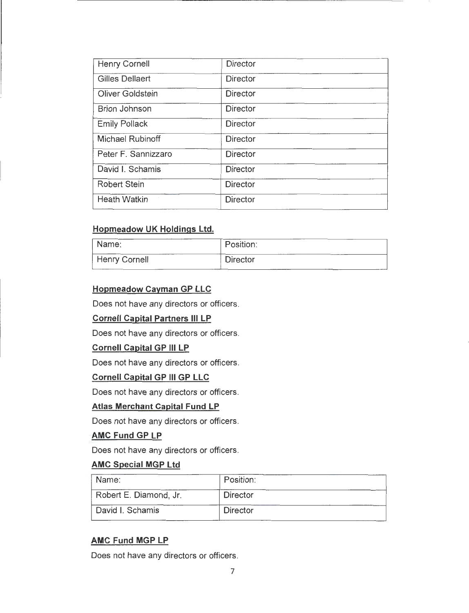| <b>Director</b> |
|-----------------|
| <b>Director</b> |
| <b>Director</b> |
| <b>Director</b> |
| <b>Director</b> |
| <b>Director</b> |
| <b>Director</b> |
| <b>Director</b> |
| Director        |
| <b>Director</b> |
|                 |

r-------------------------------- - ------ ------ --·-

# **Hopmeadow UK Holdings Ltd.**

| Name:         | Position:       |  |  |
|---------------|-----------------|--|--|
| Henry Cornell | <b>Director</b> |  |  |

#### **Hopmeadow Cayman GP LLC**

Does not have any directors or officers.

#### **Cornell Capital Partners Ill LP**

Does not have any directors or officers.

#### **Cornell Capital GP Ill LP**

Does not have any directors or officers.

#### **Cornell Capital GP Ill GP LLC**

Does not have any directors or officers.

#### **Atlas Merchant Capital Fund LP**

Does not have any directors or officers.

# **AMC Fund GP LP**

Does not have any directors or officers.

#### **AMC Special MGP Ltd**

| Name:                  | Position:       |  |
|------------------------|-----------------|--|
| Robert E. Diamond, Jr. | <b>Director</b> |  |
| David I. Schamis       | <b>Director</b> |  |

#### **AMC Fund MGP LP**

Does not have any directors or officers.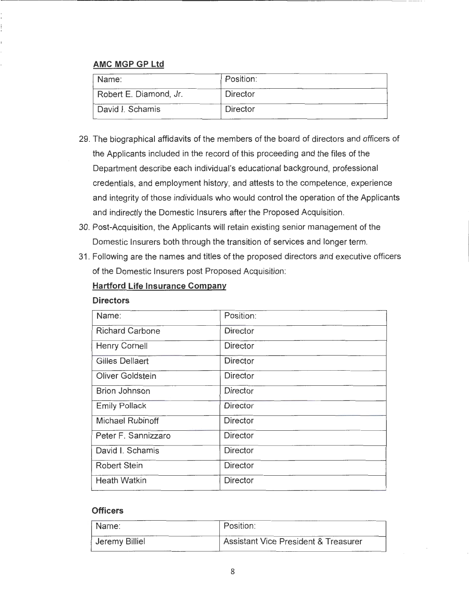# **AMC MGP GP Ltd**

| Name:                  | Position: |  |
|------------------------|-----------|--|
| Robert E. Diamond, Jr. | Director  |  |
| David I. Schamis       | Director  |  |

- 29. The biographical affidavits of the members of the board of directors and officers of the Applicants included in the record of this proceeding and the files of the Department describe each individual's educational background, professional credentials, and employment history, and attests to the competence, experience and integrity of those individuals who would control the operation of the Applicants and indirectly the Domestic Insurers after the Proposed Acquisition.
- 30. Post-Acquisition, the Applicants will retain existing senior management of the Domestic Insurers both through the transition of services and longer term.
- 31 . Following are the names and titles of the proposed directors and executive officers of the Domestic Insurers post Proposed Acquisition:

#### **Hartford Life Insurance Company**

#### **Directors**

| Name:                  | Position:       |
|------------------------|-----------------|
| <b>Richard Carbone</b> | <b>Director</b> |
| <b>Henry Cornell</b>   | <b>Director</b> |
| Gilles Dellaert        | <b>Director</b> |
| Oliver Goldstein       | <b>Director</b> |
| <b>Brion Johnson</b>   | <b>Director</b> |
| <b>Emily Pollack</b>   | Director        |
| Michael Rubinoff       | <b>Director</b> |
| Peter F. Sannizzaro    | <b>Director</b> |
| David I. Schamis       | <b>Director</b> |
| <b>Robert Stein</b>    | <b>Director</b> |
| <b>Heath Watkin</b>    | <b>Director</b> |

#### **Officers**

| Name:          | Position:                                       |
|----------------|-------------------------------------------------|
| Jeremy Billiel | <b>Assistant Vice President &amp; Treasurer</b> |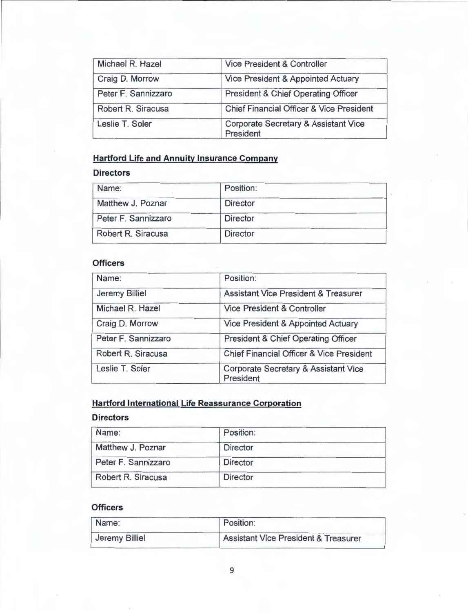| Michael R. Hazel    | Vice President & Controller                                  |
|---------------------|--------------------------------------------------------------|
| Craig D. Morrow     | Vice President & Appointed Actuary                           |
| Peter F. Sannizzaro | <b>President &amp; Chief Operating Officer</b>               |
| Robert R. Siracusa  | <b>Chief Financial Officer &amp; Vice President</b>          |
| Leslie T. Soler     | <b>Corporate Secretary &amp; Assistant Vice</b><br>President |

# **Hartford Life and Annuity Insurance Company**

# **Directors**

| Name:               | Position:       |  |
|---------------------|-----------------|--|
| Matthew J. Poznar   | <b>Director</b> |  |
| Peter F. Sannizzaro | <b>Director</b> |  |
| Robert R. Siracusa  | <b>Director</b> |  |

## **Officers**

| Name:                 | Position:                                           |  |
|-----------------------|-----------------------------------------------------|--|
| <b>Jeremy Billiel</b> | <b>Assistant Vice President &amp; Treasurer</b>     |  |
| Michael R. Hazel      | <b>Vice President &amp; Controller</b>              |  |
| Craig D. Morrow       | Vice President & Appointed Actuary                  |  |
| Peter F. Sannizzaro   | President & Chief Operating Officer                 |  |
| Robert R. Siracusa    | <b>Chief Financial Officer &amp; Vice President</b> |  |
| Leslie T. Soler       | Corporate Secretary & Assistant Vice<br>President   |  |

# **Hartford International Life Reassurance Corporation**

#### **Directors**

| Name:               | Position:       |  |
|---------------------|-----------------|--|
| Matthew J. Poznar   | <b>Director</b> |  |
| Peter F. Sannizzaro | <b>Director</b> |  |
| Robert R. Siracusa  | <b>Director</b> |  |

# **Officers**

| Name:          | Position:                                       |
|----------------|-------------------------------------------------|
| Jeremy Billiel | <b>Assistant Vice President &amp; Treasurer</b> |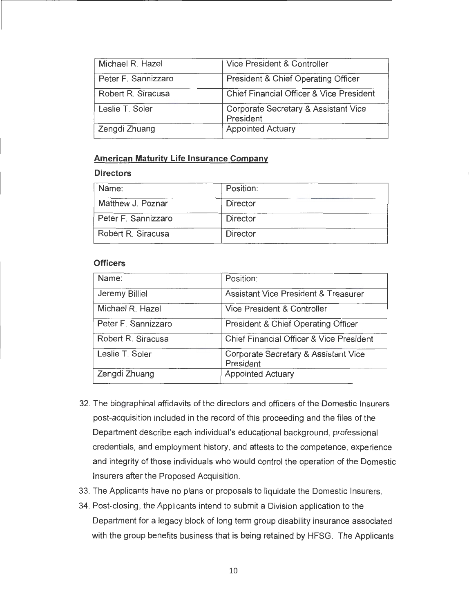| Michael R. Hazel    | Vice President & Controller                       |
|---------------------|---------------------------------------------------|
| Peter F. Sannizzaro | President & Chief Operating Officer               |
| Robert R. Siracusa  | Chief Financial Officer & Vice President          |
| Leslie T. Soler     | Corporate Secretary & Assistant Vice<br>President |
| Zengdi Zhuang       | <b>Appointed Actuary</b>                          |

#### **American Maturity Life Insurance Company**

#### **Directors**

| Name:               | Position:       |  |
|---------------------|-----------------|--|
| Matthew J. Poznar   | Director        |  |
| Peter F. Sannizzaro | <b>Director</b> |  |
| Robert R. Siracusa  | <b>Director</b> |  |

#### **Officers**

| Name:               | Position:                                         |
|---------------------|---------------------------------------------------|
| Jeremy Billiel      | <b>Assistant Vice President &amp; Treasurer</b>   |
| Michael R. Hazel    | Vice President & Controller                       |
| Peter F. Sannizzaro | President & Chief Operating Officer               |
| Robert R. Siracusa  | Chief Financial Officer & Vice President          |
| Leslie T. Soler     | Corporate Secretary & Assistant Vice<br>President |
| Zengdi Zhuang       | <b>Appointed Actuary</b>                          |

- 32. The biographical affidavits of the directors and officers of the Domestic Insurers post-acquisition included in the record of this proceeding and the files of the Department describe each individual's educational background, professional credentials, and employment history, and attests to the competence, experience and integrity of those individuals who would control the operation of the Domestic Insurers after the Proposed Acquisition .
- 33. The Applicants have no plans or proposals to liquidate the Domestic Insurers.
- 34. Post-closing, the Applicants intend to submit a Division application to the Department for a legacy block of long term group disability insurance associated with the group benefits business that is being retained by HFSG. The Applicants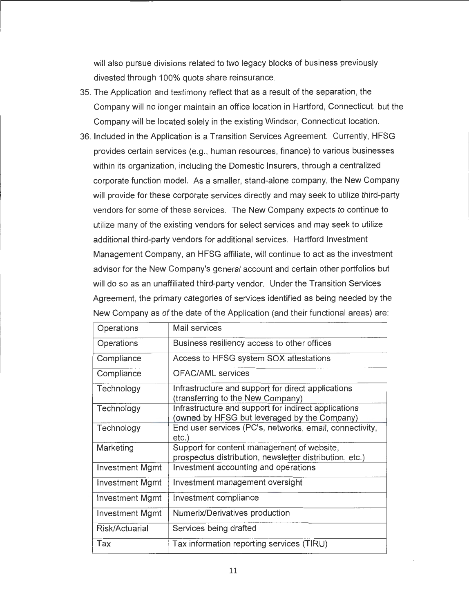will also pursue divisions related to two legacy blocks of business previously divested through 100% quota share reinsurance.

- 35. The Application and testimony reflect that as a result of the separation, the Company will no longer maintain an office location in Hartford, Connecticut, but the Company will be located solely in the existing Windsor, Connecticut location.
- 36. Included in the Application is a Transition Services Agreement. Currently, HFSG provides certain services (e.g. , human resources, finance) to various businesses within its organization, including the Domestic Insurers, through a centralized corporate function model. As a smaller, stand-alone company, the New Company will provide for these corporate services directly and may seek to utilize third-party vendors for some of these services. The New Company expects to continue to utilize many of the existing vendors for select services and may seek to utilize additional third-party vendors for additional services. Hartford Investment Management Company, an HFSG affiliate, will continue to act as the investment advisor for the New Company's general account and certain other portfolios but will do so as an unaffiliated third-party vendor. Under the Transition Services Agreement, the primary categories of services identified as being needed by the New Company as of the date of the Application (and their functional areas) are:

| Operations             | Mail services                                                                                         |
|------------------------|-------------------------------------------------------------------------------------------------------|
| Operations             | Business resiliency access to other offices                                                           |
| Compliance             | Access to HFSG system SOX attestations                                                                |
| Compliance             | <b>OFAC/AML</b> services                                                                              |
| Technology             | Infrastructure and support for direct applications<br>(transferring to the New Company)               |
| Technology             | Infrastructure and support for indirect applications<br>(owned by HFSG but leveraged by the Company)  |
| Technology             | End user services (PC's, networks, email, connectivity,<br>etc.)                                      |
| Marketing              | Support for content management of website,<br>prospectus distribution, newsletter distribution, etc.) |
| <b>Investment Mgmt</b> | Investment accounting and operations                                                                  |
| <b>Investment Mgmt</b> | Investment management oversight                                                                       |
| 'mvestment Mgmt        | Investment compliance                                                                                 |
| <b>Investment Mgmt</b> | Numerix/Derivatives production                                                                        |
| Risk/Actuarial         | Services being drafted                                                                                |
| Tax                    | Tax information reporting services (TIRU)                                                             |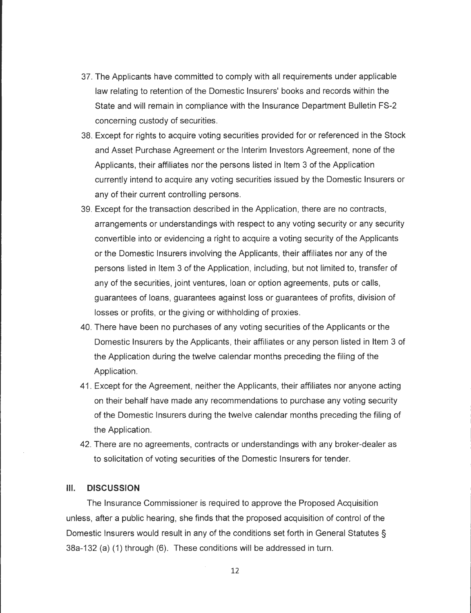- 37. The Applicants have committed to comply with all requirements under applicable law relating to retention of the Domestic Insurers' books and records within the State and will remain in compliance with the Insurance Department Bulletin FS-2 concerning custody of securities.
- 38 . Except for rights to acquire voting securities provided for or referenced in the Stock and Asset Purchase Agreement or the Interim Investors Agreement, none of the Applicants, their affiliates nor the persons listed in Item 3 of the Application currently intend to acquire any voting securities issued by the Domestic Insurers or any of their current controlling persons.
- 39. Except for the transaction described in the Application, there are no contracts, arrangements or understandings with respect to any voting security or any security convertible into or evidencing a right to acquire a voting security of the Applicants or the Domestic Insurers involving the Applicants, their affiliates nor any of the persons listed in Item 3 of the Application, including, but not limited to, transfer of any of the securities, joint ventures, loan or option agreements, puts or calls, guarantees of loans, guarantees against loss or guarantees of profits, division of losses or profits, or the giving or withholding of proxies.
- 40. There have been no purchases of any voting securities of the Applicants or the Domestic Insurers by the Applicants, their affiliates or any person listed in Item 3 of the Application during the twelve calendar months preceding the filing of the Application.
- 41 . Except for the Agreement, neither the Applicants, their affiliates nor anyone acting on their behalf have made any recommendations to purchase any voting security of the Domestic Insurers during the twelve calendar months preceding the filing of the Application.
- 42. There are no agreements, contracts or understandings with any broker-dealer as to solicitation of voting securities of the Domestic Insurers for tender.

#### **Ill. DISCUSSION**

The Insurance Commissioner is required to approve the Proposed Acquisition unless, after a public hearing, she finds that the proposed acquisition of control of the Domestic Insurers would result in any of the conditions set forth in General Statutes § 38a-132 (a) (1) through (6). These conditions will be addressed in turn.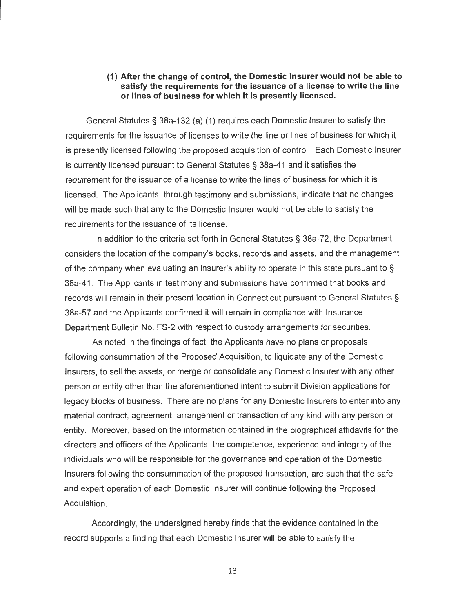#### **(1) After the change of control, the Domestic Insurer would not be able to satisfy the requirements for the issuance of a license to write the line or lines of business for which it is presently licensed.**

General Statutes§ 38a-132 (a) (1) requires each Domestic Insurer to satisfy the requirements for the issuance of licenses to write the line or lines of business for which it is presently licensed following the proposed acquisition of control. Each Domestic Insurer is currently licensed pursuant to General Statutes § 38a-41 and it satisfies the requirement for the issuance of a license to write the lines of business for which it is licensed. The Applicants, through testimony and submissions, indicate that no changes will be made such that any to the Domestic Insurer would not be able to satisfy the requirements for the issuance of its license.

r

In addition to the criteria set forth in General Statutes§ 38a-72, the Department considers the location of the company's books, records and assets, and the management of the company when evaluating an insurer's ability to operate in this state pursuant to § 38a-41. The Applicants in testimony and submissions have confirmed that books and records will remain in their present location in Connecticut pursuant to General Statutes § 38a-57 and the Applicants confirmed it will remain in compliance with Insurance Department Bulletin No. FS-2 with respect to custody arrangements for securities.

As noted in the findings of fact, the Applicants have no plans or proposals following consummation of the Proposed Acquisition, to liquidate any of the Domestic Insurers, to sell the assets, or merge or consolidate any Domestic Insurer with any other person or entity other than the aforementioned intent to submit Division applications for legacy blocks of business. There are no plans for any Domestic Insurers to enter into any material contract, agreement, arrangement or transaction of any kind with any person or entity. Moreover, based on the information contained in the biographical affidavits for the directors and officers of the Applicants, the competence, experience and integrity of the individuals who will be responsible for the governance and operation of the Domestic Insurers following the consummation of the proposed transaction, are such that the safe and expert operation of each Domestic Insurer will continue following the Proposed Acquisition.

Accordingly, the undersigned hereby finds that the evidence contained in the record supports a finding that each Domestic Insurer will be able to satisfy the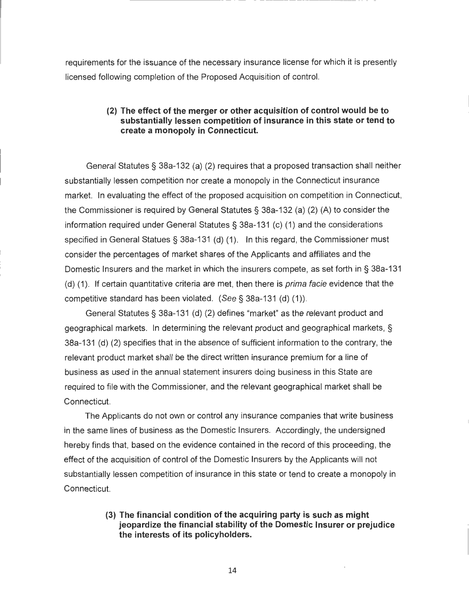requirements for the issuance of the necessary insurance license for which it is presently licensed following completion of the Proposed Acquisition of control.

#### **(2) The effect of the merger or other acquisition of control would be to substantially lessen competition of insurance in this state or tend to create a monopoly in Connecticut.**

General Statutes§ 38a-132 (a) (2) requires that a proposed transaction shall neither substantially lessen competition nor create a monopoly in the Connecticut insurance market. In evaluating the effect of the proposed acquisition on competition in Connecticut, the Commissioner is required by General Statutes§ 38a-132 (a) (2) (A) to consider the information required under General Statutes§ 38a-131 (c) (1) and the considerations specified in General Statues§ 38a-131 (d) (1). In this regard, the Commissioner must consider the percentages of market shares of the Applicants and affiliates and the Domestic Insurers and the market in which the insurers compete, as set forth in § 38a-131 (d) (1). If certain quantitative criteria are met, then there is *prima facie* evidence that the competitive standard has been violated. (See§ 38a-131 (d) (1)).

General Statutes§ 38a-131 (d) (2) defines "market" as the relevant product and geographical markets. In determining the relevant product and geographical markets, § 38a-131 (d) (2) specifies that in the absence of sufficient information to the contrary, the relevant product market shall be the direct written insurance premium for a line of business as used in the annual statement insurers doing business in this State are required to file with the Commissioner, and the relevant geographical market shall be Connecticut.

The Applicants do not own or control any insurance companies that write business in the same lines of business as the Domestic Insurers. Accordingly, the undersigned hereby finds that, based on the evidence contained in the record of this proceeding, the effect of the acquisition of control of the Domestic Insurers by the Applicants will not substantially lessen competition of insurance in this state or tend to create a monopoly in Connecticut.

#### **(3) The financial condition of the acquiring party is such as might jeopardize the financial stability of the Domestic Insurer or prejudice the interests of its policyholders.**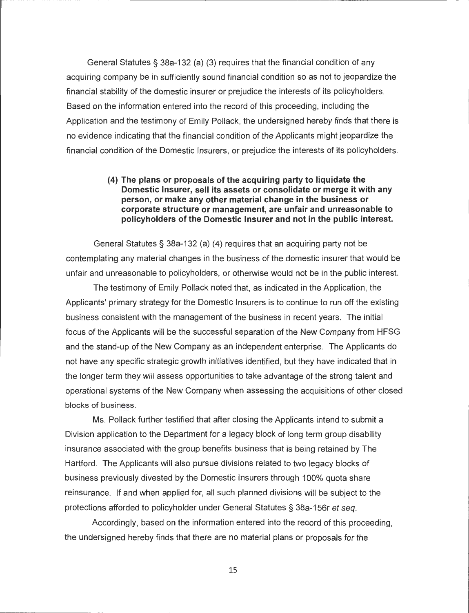General Statutes§ 38a-132 (a) (3) requires that the financial condition of any acquiring company be in sufficiently sound financial condition so as not to jeopardize the financial stability of the domestic insurer or prejudice the interests of its policyholders. Based on the information entered into the record of this proceeding, including the Application and the testimony of Emily Pollack, the undersigned hereby finds that there is no evidence indicating that the financial condition of the Applicants might jeopardize the financial condition of the Domestic Insurers, or prejudice the interests of its policyholders.

#### **(4) The plans or proposals of the acquiring party to liquidate the Domestic Insurer, sell its assets or consolidate or merge it with any person, or make any other material change in the business or corporate structure or management, are unfair and unreasonable to policyholders of the Domestic Insurer and not in the public interest.**

General Statutes§ 38a-132 (a) (4) requires that an acquiring party not be contemplating any material changes in the business of the domestic insurer that would be unfair and unreasonable to policyholders, or otherwise would not be in the public interest.

The testimony of Emily Pollack noted that, as indicated in the Application, the Applicants' primary strategy for the Domestic Insurers is to continue to run off the existing business consistent with the management of the business in recent years. The initial focus of the Applicants will be the successful separation of the New Company from HFSG and the stand-up of the New Company as an independent enterprise. The Applicants do not have any specific strategic growth initiatives identified, but they have indicated that in the longer term they will assess opportunities to take advantage of the strong talent and operational systems of the New Company when assessing the acquisitions of other closed blocks of business.

Ms. Pollack further testified that after closing the Applicants intend to submit a Division application to the Department for a legacy block of long term group disability insurance associated with the group benefits business that is being retained by The Hartford. The Applicants will also pursue divisions related to two legacy blocks of business previously divested by the Domestic Insurers through 100% quota share reinsurance. If and when applied for, all such planned divisions will be subject to the protections afforded to policyholder under General Statutes§ 38a-156r et seq.

Accordingly, based on the information entered into the record of this proceeding, the undersigned hereby finds that there are no material plans or proposals for the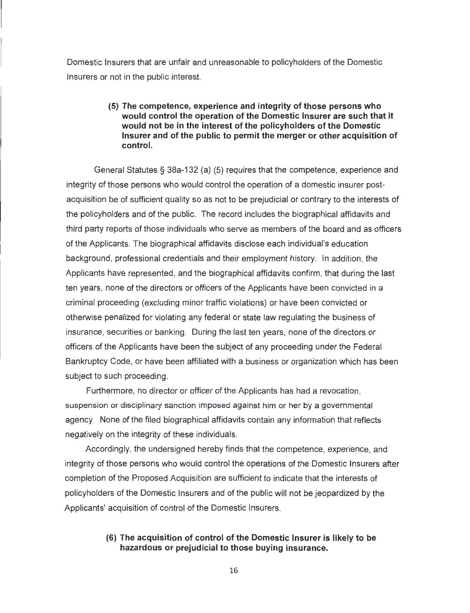Domestic Insurers that are unfair and unreasonable to policyholders of the Domestic Insurers or not in the public interest.

#### **(5) The competence, experience and integrity of those persons who would control the operation of the Domestic Insurer are such that it would not be in the interest of the policyholders of the Domestic Insurer and of the public to permit the merger or other acquisition of control.** ·

General Statutes § 38a-132 (a) (5) requires that the competence, experience and integrity of those persons who would control the operation of a domestic insurer postacquisition be of sufficient quality so as not to be prejudicial or contrary to the interests of the policyholders and of the public. The record includes the biographical affidavits and third party reports of those individuals who serve as members of the board and as officers of the Applicants. The biographical affidavits disclose each individual's education background, professional credentials and their employment history. In addition, the Applicants have represented, and the biographical affidavits confirm, that during the last ten years, none of the directors or officers of the Applicants have been convicted in a criminal proceeding (excluding minor traffic violations) or have been convicted or otherwise penalized for violating any federal or state law regulating the business of insurance, securities or banking. During the last ten years, none of the directors or officers of the Applicants have been the subject of any proceeding under the Federal Bankruptcy Code, or have been affiliated with a business or organization which has been subject to such proceeding.

Furthermore, no director or officer of the Applicants has had a revocation, suspension or disciplinary sanction imposed against him or her by a governmental agency. None of the filed biographical affidavits contain any information that reflects negatively on the integrity of these individuals.

Accordingly, the undersigned hereby finds that the competence, experience, and integrity of those persons who would control the operations of the Domestic Insurers after completion of the Proposed Acquisition are sufficient to indicate that the interests of policyholders of the Domestic Insurers and of the public will not be jeopardized by the Applicants' acquisition of control of the Domestic Insurers.

#### **(6) The acquisition of control of the Domestic Insurer is likely to be hazardous or prejudicial to those buying insurance.**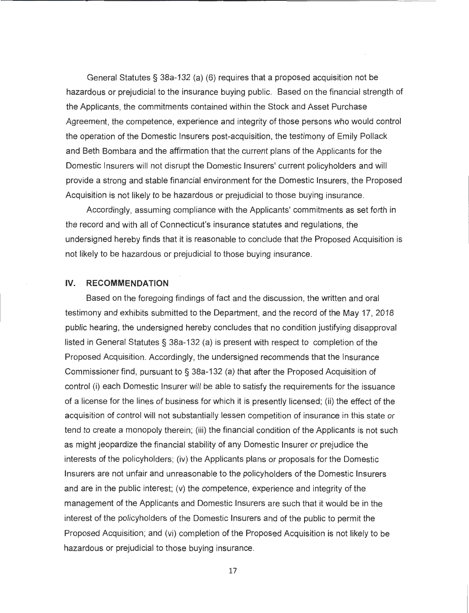General Statutes § 38a-132 (a) (6) requires that a proposed acquisition not be hazardous or prejudicial to the insurance buying public. Based on the financial strength of the Applicants, the commitments contained within the Stock and Asset Purchase Agreement, the competence, experience and integrity of those persons who would control the operation of the Domestic Insurers post-acquisition, the testimony of Emily Pollack and Beth Bombara and the affirmation that the current plans of the Applicants for the Domestic Insurers will not disrupt the Domestic Insurers' current policyholders and will provide a strong and stable financial environment for the Domestic Insurers, the Proposed Acquisition is not likely to be hazardous or prejudicial to those buying insurance.

Accordingly, assuming compliance with the Applicants' commitments as set forth in the record and with all of Connecticut's insurance statutes and regulations, the undersigned hereby finds that it is reasonable to conclude that the Proposed Acquisition is not likely to be hazardous or prejudicial to those buying insurance.

#### **IV. RECOMMENDATION**

Based on the foregoing findings of fact and the discussion, the written and oral testimony and exhibits submitted to the Department, and the record of the May 17, 2018 public hearing, the undersigned hereby concludes that no condition justifying disapproval listed in General Statutes § 38a-132 (a) is present with respect to completion of the Proposed Acquisition. Accordingly, the undersigned recommends that the Insurance Commissioner find , pursuant to§ 38a-132 (a) that after the Proposed Acquisition of control (i) each Domestic Insurer will be able to satisfy the requirements for the issuance of a license for the lines of business for which it is presently licensed; (ii) the effect of the acquisition of control will not substantially lessen competition of insurance in this state or tend to create a monopoly therein; (iii) the financial condition of the Applicants is not such as might jeopardize the financial stability of any Domestic Insurer or prejudice the interests of the policyholders; (iv) the Applicants plans or proposals for the Domestic Insurers are not unfair and unreasonable to the policyholders of the Domestic Insurers and are in the public interest; (v) the competence, experience and integrity of the management of the Applicants and Domestic Insurers are such that it would be in the interest of the policyholders of the Domestic Insurers and of the public to permit the Proposed Acquisition; and (vi) completion of the Proposed Acquisition is not likely to be hazardous or prejudicial to those buying insurance.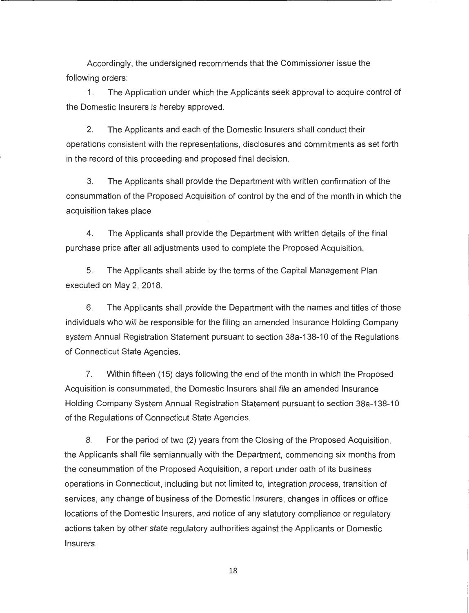Accordingly, the undersigned recommends that the Commissioner issue the following orders:

1. The Application under which the Applicants seek approval to acquire control of the Domestic Insurers is hereby approved.

2. The Applicants and each of the Domestic Insurers shall conduct their operations consistent with the representations, disclosures and commitments as set forth in the record of this proceeding and proposed final decision.

3. The Applicants shall provide the Department with written confirmation of the consummation of the Proposed Acquisition of control by the end of the month in which the acquisition takes place.

4. The Applicants shall provide the Department with written details of the final purchase price after all adjustments used to complete the Proposed Acquisition.

5. The Applicants shall abide by the terms of the Capital Management Plan executed on May 2, 2018.

6. The Applicants shall provide the Department with the names and titles of those individuals who will be responsible for the filing an amended Insurance Holding Company system Annual Registration Statement pursuant to section 38a-138-10 of the Regulations of Connecticut State Agencies.

7. Within fifteen (15) days following the end of the month in which the Proposed Acquisition is consummated, the Domestic Insurers shall file an amended Insurance Holding Company System Annual Registration Statement pursuant to section 38a-138-10 of the Regulations of Connecticut State Agencies.

8. For the period of two (2) years from the Closing of the Proposed Acquisition, the Applicants shall file semiannually with the Department, commencing six months from the consummation of the Proposed Acquisition, a report under oath of its business operations in Connecticut, including but not limited to, integration process, transition of services, any change of business of the Domestic Insurers, changes in offices or office locations of the Domestic Insurers, and notice of any statutory compliance or regulatory actions taken by other state regulatory authorities against the Applicants or Domestic Insurers.